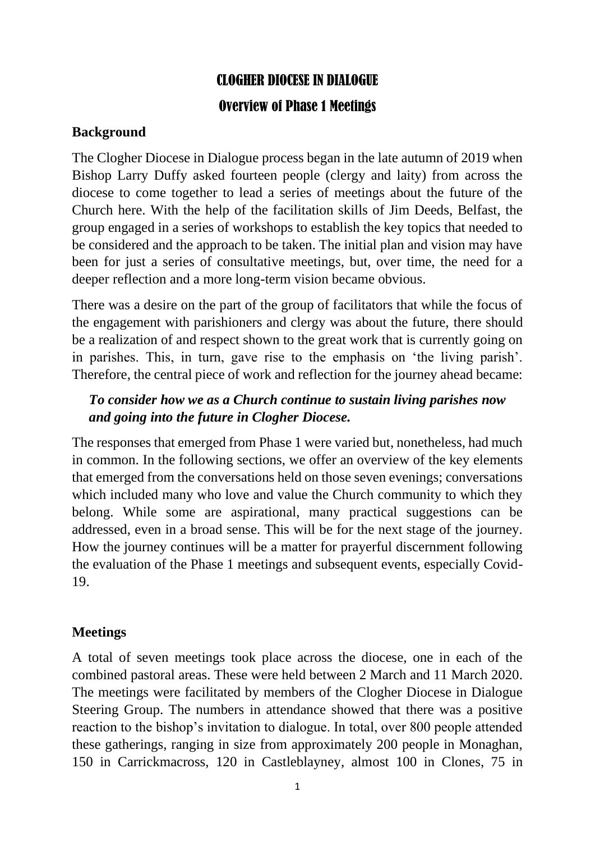## CLOGHER DIOCESE IN DIALOGUE

## Overview of Phase 1 Meetings

## **Background**

The Clogher Diocese in Dialogue process began in the late autumn of 2019 when Bishop Larry Duffy asked fourteen people (clergy and laity) from across the diocese to come together to lead a series of meetings about the future of the Church here. With the help of the facilitation skills of Jim Deeds, Belfast, the group engaged in a series of workshops to establish the key topics that needed to be considered and the approach to be taken. The initial plan and vision may have been for just a series of consultative meetings, but, over time, the need for a deeper reflection and a more long-term vision became obvious.

There was a desire on the part of the group of facilitators that while the focus of the engagement with parishioners and clergy was about the future, there should be a realization of and respect shown to the great work that is currently going on in parishes. This, in turn, gave rise to the emphasis on 'the living parish'. Therefore, the central piece of work and reflection for the journey ahead became:

## *To consider how we as a Church continue to sustain living parishes now and going into the future in Clogher Diocese.*

The responses that emerged from Phase 1 were varied but, nonetheless, had much in common. In the following sections, we offer an overview of the key elements that emerged from the conversations held on those seven evenings; conversations which included many who love and value the Church community to which they belong. While some are aspirational, many practical suggestions can be addressed, even in a broad sense. This will be for the next stage of the journey. How the journey continues will be a matter for prayerful discernment following the evaluation of the Phase 1 meetings and subsequent events, especially Covid-19.

## **Meetings**

A total of seven meetings took place across the diocese, one in each of the combined pastoral areas. These were held between 2 March and 11 March 2020. The meetings were facilitated by members of the Clogher Diocese in Dialogue Steering Group. The numbers in attendance showed that there was a positive reaction to the bishop's invitation to dialogue. In total, over 800 people attended these gatherings, ranging in size from approximately 200 people in Monaghan, 150 in Carrickmacross, 120 in Castleblayney, almost 100 in Clones, 75 in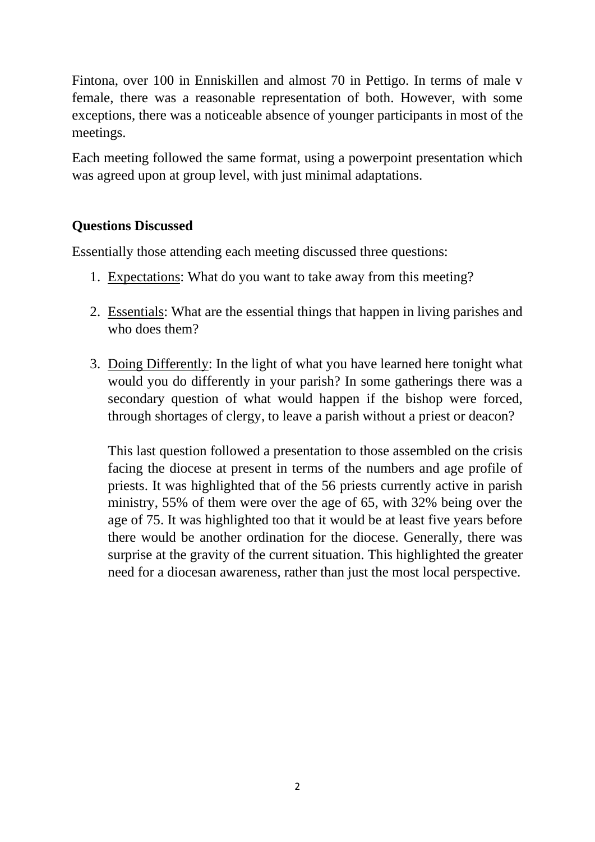Fintona, over 100 in Enniskillen and almost 70 in Pettigo. In terms of male v female, there was a reasonable representation of both. However, with some exceptions, there was a noticeable absence of younger participants in most of the meetings.

Each meeting followed the same format, using a powerpoint presentation which was agreed upon at group level, with just minimal adaptations.

## **Questions Discussed**

Essentially those attending each meeting discussed three questions:

- 1. Expectations: What do you want to take away from this meeting?
- 2. Essentials: What are the essential things that happen in living parishes and who does them?
- 3. Doing Differently: In the light of what you have learned here tonight what would you do differently in your parish? In some gatherings there was a secondary question of what would happen if the bishop were forced, through shortages of clergy, to leave a parish without a priest or deacon?

This last question followed a presentation to those assembled on the crisis facing the diocese at present in terms of the numbers and age profile of priests. It was highlighted that of the 56 priests currently active in parish ministry, 55% of them were over the age of 65, with 32% being over the age of 75. It was highlighted too that it would be at least five years before there would be another ordination for the diocese. Generally, there was surprise at the gravity of the current situation. This highlighted the greater need for a diocesan awareness, rather than just the most local perspective.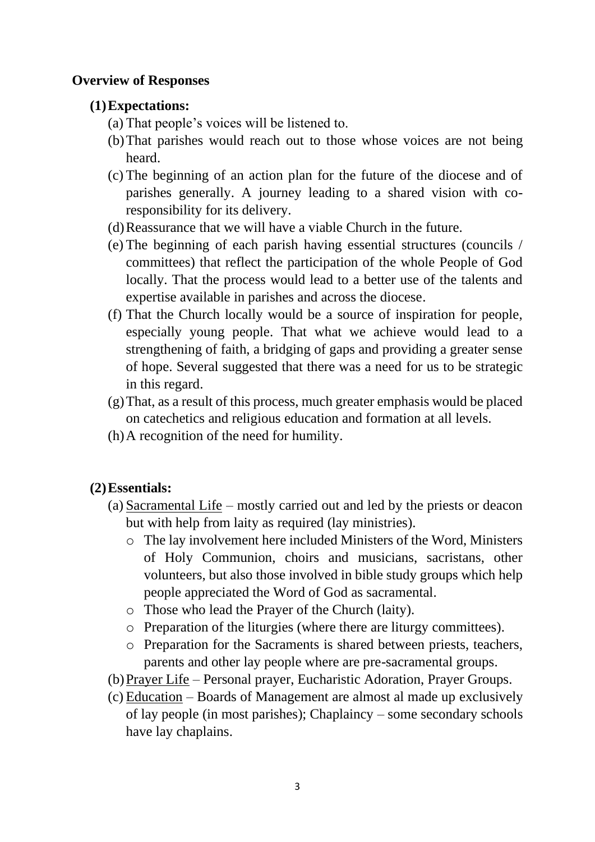#### **Overview of Responses**

## **(1)Expectations:**

- (a) That people's voices will be listened to.
- (b)That parishes would reach out to those whose voices are not being heard.
- (c) The beginning of an action plan for the future of the diocese and of parishes generally. A journey leading to a shared vision with coresponsibility for its delivery.
- (d)Reassurance that we will have a viable Church in the future.
- (e) The beginning of each parish having essential structures (councils / committees) that reflect the participation of the whole People of God locally. That the process would lead to a better use of the talents and expertise available in parishes and across the diocese.
- (f) That the Church locally would be a source of inspiration for people, especially young people. That what we achieve would lead to a strengthening of faith, a bridging of gaps and providing a greater sense of hope. Several suggested that there was a need for us to be strategic in this regard.
- (g)That, as a result of this process, much greater emphasis would be placed on catechetics and religious education and formation at all levels.
- (h)A recognition of the need for humility.

## **(2)Essentials:**

- (a) Sacramental Life mostly carried out and led by the priests or deacon but with help from laity as required (lay ministries).
	- o The lay involvement here included Ministers of the Word, Ministers of Holy Communion, choirs and musicians, sacristans, other volunteers, but also those involved in bible study groups which help people appreciated the Word of God as sacramental.
	- o Those who lead the Prayer of the Church (laity).
	- o Preparation of the liturgies (where there are liturgy committees).
	- o Preparation for the Sacraments is shared between priests, teachers, parents and other lay people where are pre-sacramental groups.
- (b)Prayer Life Personal prayer, Eucharistic Adoration, Prayer Groups.
- (c) Education Boards of Management are almost al made up exclusively of lay people (in most parishes); Chaplaincy – some secondary schools have lay chaplains.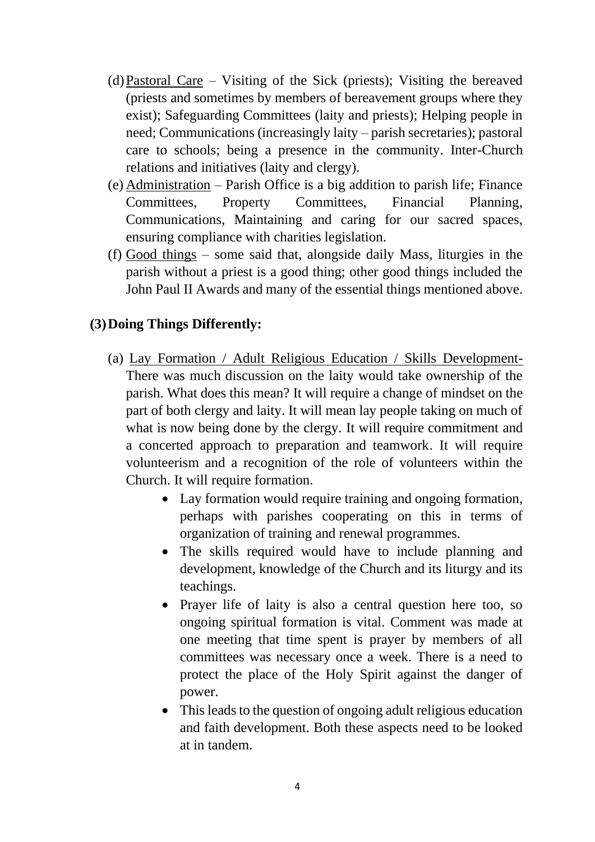- (d)Pastoral Care Visiting of the Sick (priests); Visiting the bereaved (priests and sometimes by members of bereavement groups where they exist); Safeguarding Committees (laity and priests); Helping people in need; Communications (increasingly laity – parish secretaries); pastoral care to schools; being a presence in the community. Inter-Church relations and initiatives (laity and clergy).
- (e) Administration Parish Office is a big addition to parish life; Finance Committees, Property Committees, Financial Planning, Communications, Maintaining and caring for our sacred spaces, ensuring compliance with charities legislation.
- (f) Good things some said that, alongside daily Mass, liturgies in the parish without a priest is a good thing; other good things included the John Paul II Awards and many of the essential things mentioned above.

#### **(3)Doing Things Differently:**

- (a) Lay Formation / Adult Religious Education / Skills Development-There was much discussion on the laity would take ownership of the parish. What does this mean? It will require a change of mindset on the part of both clergy and laity. It will mean lay people taking on much of what is now being done by the clergy. It will require commitment and a concerted approach to preparation and teamwork. It will require volunteerism and a recognition of the role of volunteers within the Church. It will require formation.
	- Lay formation would require training and ongoing formation, perhaps with parishes cooperating on this in terms of organization of training and renewal programmes.
	- The skills required would have to include planning and development, knowledge of the Church and its liturgy and its teachings.
	- Prayer life of laity is also a central question here too, so ongoing spiritual formation is vital. Comment was made at one meeting that time spent is prayer by members of all committees was necessary once a week. There is a need to protect the place of the Holy Spirit against the danger of power.
	- This leads to the question of ongoing adult religious education and faith development. Both these aspects need to be looked at in tandem.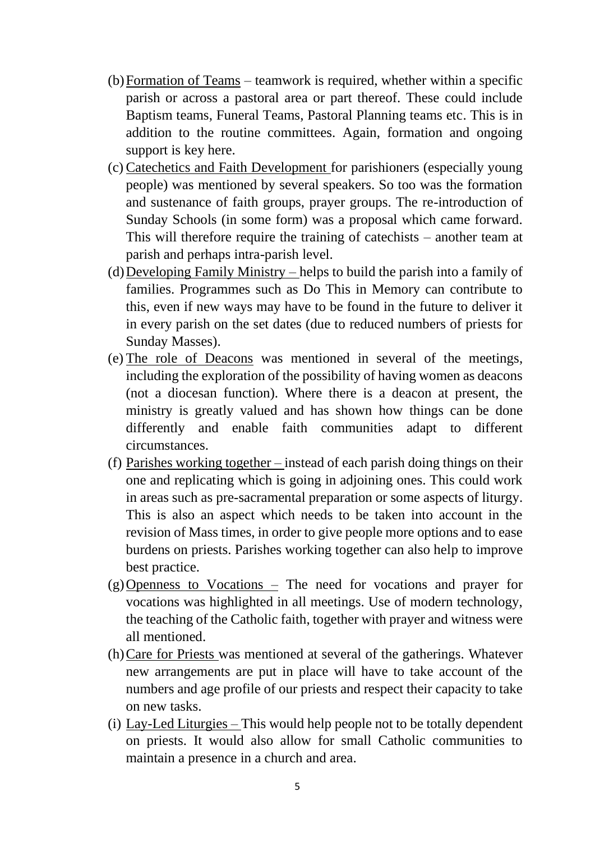- (b)Formation of Teams teamwork is required, whether within a specific parish or across a pastoral area or part thereof. These could include Baptism teams, Funeral Teams, Pastoral Planning teams etc. This is in addition to the routine committees. Again, formation and ongoing support is key here.
- (c) Catechetics and Faith Development for parishioners (especially young people) was mentioned by several speakers. So too was the formation and sustenance of faith groups, prayer groups. The re-introduction of Sunday Schools (in some form) was a proposal which came forward. This will therefore require the training of catechists – another team at parish and perhaps intra-parish level.
- (d) Developing Family Ministry helps to build the parish into a family of families. Programmes such as Do This in Memory can contribute to this, even if new ways may have to be found in the future to deliver it in every parish on the set dates (due to reduced numbers of priests for Sunday Masses).
- (e) The role of Deacons was mentioned in several of the meetings, including the exploration of the possibility of having women as deacons (not a diocesan function). Where there is a deacon at present, the ministry is greatly valued and has shown how things can be done differently and enable faith communities adapt to different circumstances.
- (f) Parishes working together instead of each parish doing things on their one and replicating which is going in adjoining ones. This could work in areas such as pre-sacramental preparation or some aspects of liturgy. This is also an aspect which needs to be taken into account in the revision of Mass times, in order to give people more options and to ease burdens on priests. Parishes working together can also help to improve best practice.
- $(g)$ Openness to Vocations The need for vocations and prayer for vocations was highlighted in all meetings. Use of modern technology, the teaching of the Catholic faith, together with prayer and witness were all mentioned.
- (h)Care for Priests was mentioned at several of the gatherings. Whatever new arrangements are put in place will have to take account of the numbers and age profile of our priests and respect their capacity to take on new tasks.
- (i) Lay-Led Liturgies This would help people not to be totally dependent on priests. It would also allow for small Catholic communities to maintain a presence in a church and area.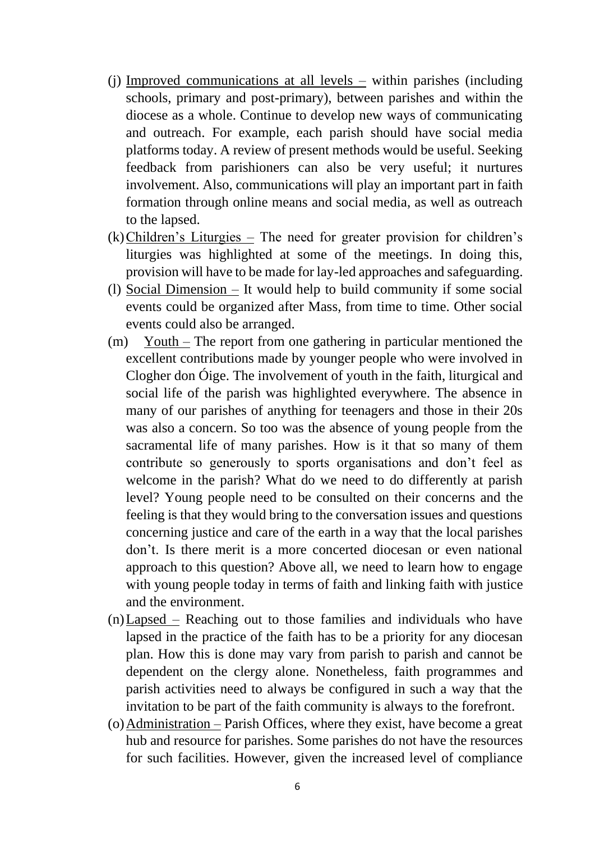- (j) Improved communications at all levels within parishes (including schools, primary and post-primary), between parishes and within the diocese as a whole. Continue to develop new ways of communicating and outreach. For example, each parish should have social media platforms today. A review of present methods would be useful. Seeking feedback from parishioners can also be very useful; it nurtures involvement. Also, communications will play an important part in faith formation through online means and social media, as well as outreach to the lapsed.
- (k)Children's Liturgies The need for greater provision for children's liturgies was highlighted at some of the meetings. In doing this, provision will have to be made for lay-led approaches and safeguarding.
- (l) Social Dimension It would help to build community if some social events could be organized after Mass, from time to time. Other social events could also be arranged.
- (m) Youth The report from one gathering in particular mentioned the excellent contributions made by younger people who were involved in Clogher don Óige. The involvement of youth in the faith, liturgical and social life of the parish was highlighted everywhere. The absence in many of our parishes of anything for teenagers and those in their 20s was also a concern. So too was the absence of young people from the sacramental life of many parishes. How is it that so many of them contribute so generously to sports organisations and don't feel as welcome in the parish? What do we need to do differently at parish level? Young people need to be consulted on their concerns and the feeling is that they would bring to the conversation issues and questions concerning justice and care of the earth in a way that the local parishes don't. Is there merit is a more concerted diocesan or even national approach to this question? Above all, we need to learn how to engage with young people today in terms of faith and linking faith with justice and the environment.
- (n)Lapsed Reaching out to those families and individuals who have lapsed in the practice of the faith has to be a priority for any diocesan plan. How this is done may vary from parish to parish and cannot be dependent on the clergy alone. Nonetheless, faith programmes and parish activities need to always be configured in such a way that the invitation to be part of the faith community is always to the forefront.
- (o)Administration Parish Offices, where they exist, have become a great hub and resource for parishes. Some parishes do not have the resources for such facilities. However, given the increased level of compliance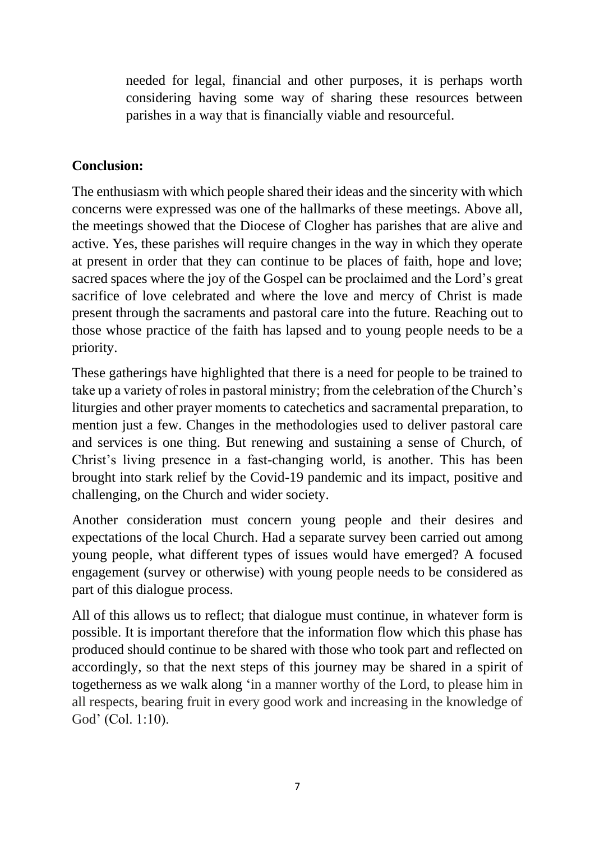needed for legal, financial and other purposes, it is perhaps worth considering having some way of sharing these resources between parishes in a way that is financially viable and resourceful.

## **Conclusion:**

The enthusiasm with which people shared their ideas and the sincerity with which concerns were expressed was one of the hallmarks of these meetings. Above all, the meetings showed that the Diocese of Clogher has parishes that are alive and active. Yes, these parishes will require changes in the way in which they operate at present in order that they can continue to be places of faith, hope and love; sacred spaces where the joy of the Gospel can be proclaimed and the Lord's great sacrifice of love celebrated and where the love and mercy of Christ is made present through the sacraments and pastoral care into the future. Reaching out to those whose practice of the faith has lapsed and to young people needs to be a priority.

These gatherings have highlighted that there is a need for people to be trained to take up a variety of roles in pastoral ministry; from the celebration of the Church's liturgies and other prayer moments to catechetics and sacramental preparation, to mention just a few. Changes in the methodologies used to deliver pastoral care and services is one thing. But renewing and sustaining a sense of Church, of Christ's living presence in a fast-changing world, is another. This has been brought into stark relief by the Covid-19 pandemic and its impact, positive and challenging, on the Church and wider society.

Another consideration must concern young people and their desires and expectations of the local Church. Had a separate survey been carried out among young people, what different types of issues would have emerged? A focused engagement (survey or otherwise) with young people needs to be considered as part of this dialogue process.

All of this allows us to reflect; that dialogue must continue, in whatever form is possible. It is important therefore that the information flow which this phase has produced should continue to be shared with those who took part and reflected on accordingly, so that the next steps of this journey may be shared in a spirit of togetherness as we walk along 'in a manner worthy of the Lord, to please him in all respects, bearing fruit in every good work and increasing in the knowledge of God' (Col. 1:10).